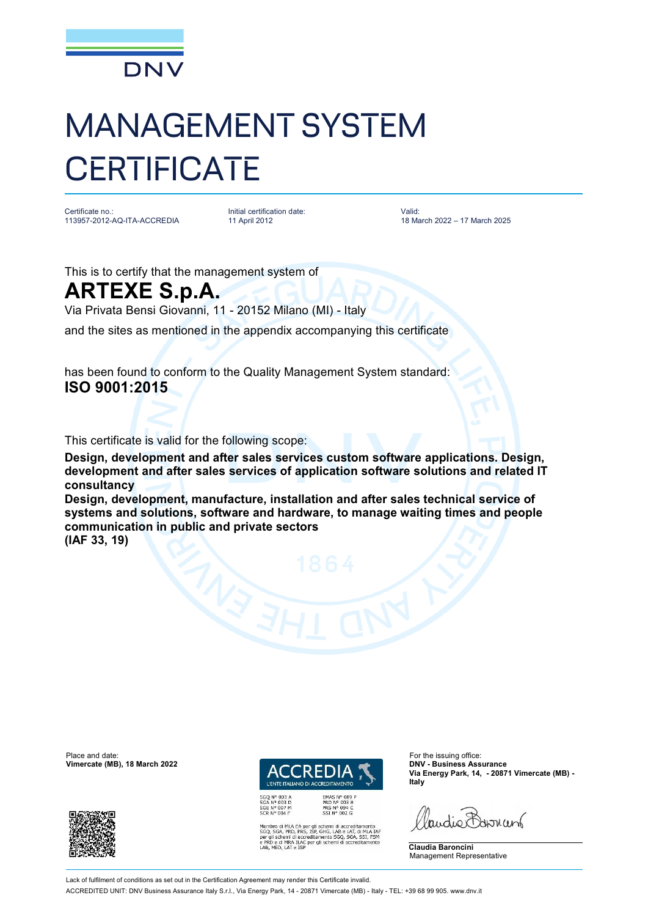

## MANAGEMENT SYSTEM **CERTIFICATE**

Certificate no.: 113957-2012-AQ-ITA-ACCREDIA Initial certification date: 11 April 2012

Valid: 18 March 2022 – 17 March 2025

This is to certify that the management system of

## **ARTEXE S.p.A.**

Via Privata Bensi Giovanni, 11 - 20152 Milano (MI) - Italy

and the sites as mentioned in the appendix accompanying this certificate

has been found to conform to the Quality Management System standard: **ISO 9001:2015**

This certificate is valid for the following scope:

**Design, development and after sales services custom software applications. Design, development and after sales services of application software solutions and related IT consultancy** 

**Design, development, manufacture, installation and after sales technical service of systems and solutions, software and hardware, to manage waiting times and people communication in public and private sectors** 

**(IAF 33, 19)**

Place and date: For the issuing office:<br> **Place and date:** For the issuing office:<br> **Place and date:** For the issuing office:<br> **Place and date:** For the issuing office: **Vimercate (MB), 18 March 2022** 





EMAS N° 009 P<br>PRD N° 003 B<br>PRS N° 094 C<br>SSI N° 002 G MLA EA per gli schemi di accreditamento<br>, PRD, PRS, ISP, GHG, LAB e LAT, di MLA IAF<br>emi di accreditamento SGQ, SGA, SSI, FSM<br>MRA ILAC per gli schemi di accreditamento<br>LAT e ISP **Via Energy Park, 14, - 20871 Vimercate (MB) - Italy**

audie Barnant

**Claudia Baroncini** Management Representative

Lack of fulfilment of conditions as set out in the Certification Agreement may render this Certificate invalid

ACCREDITED UNIT: DNV Business Assurance Italy S.r.l., Via Energy Park, 14 - 20871 Vimercate (MB) - Italy - TEL: +39 68 99 905. [www.dnv.it](http://www.dnv.it)